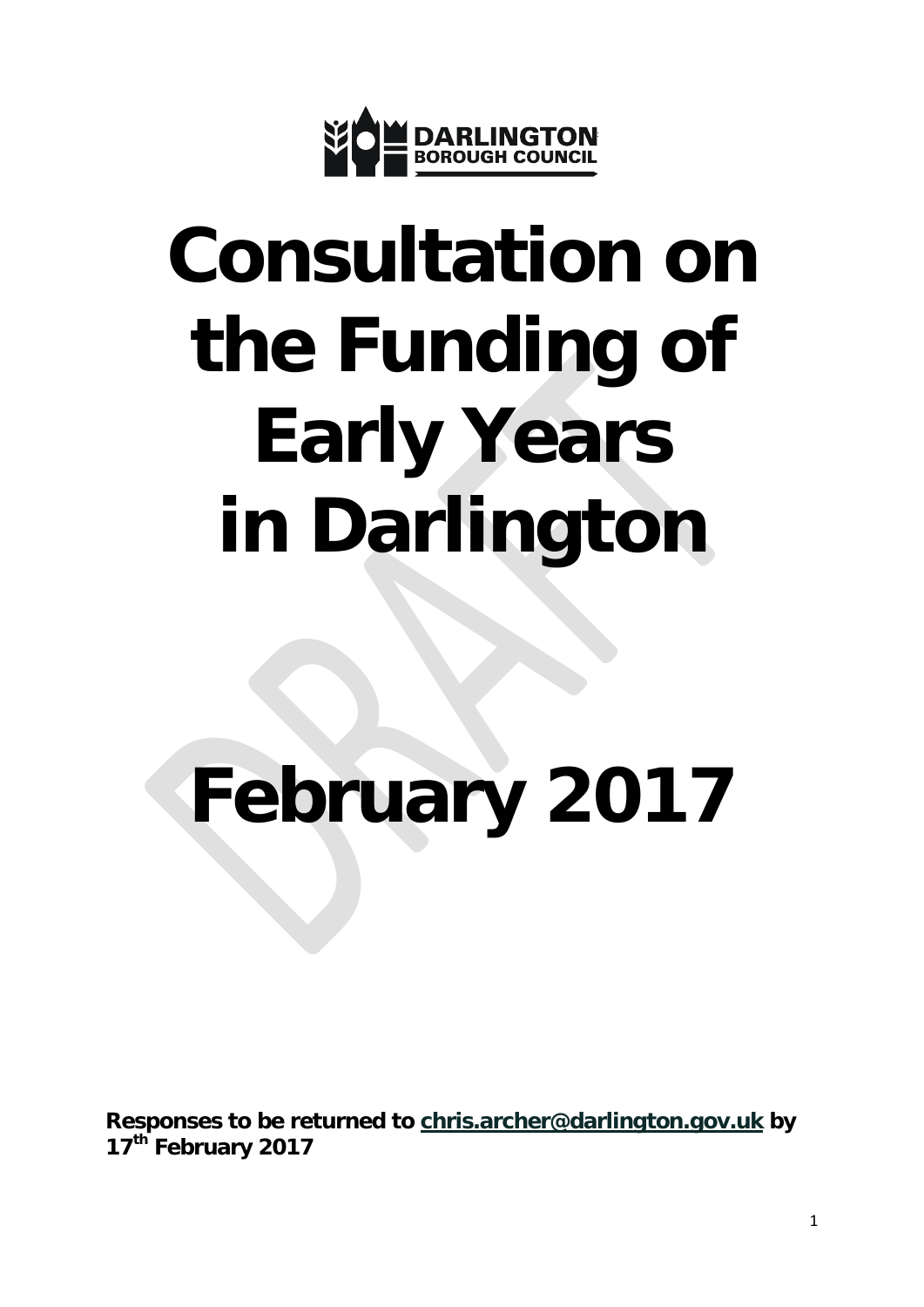

# **Consultation on the Funding of Early Years in Darlington**

## **February 2017**

**Responses to be returned to [chris.archer@darlington.gov.uk](mailto:chris.archer@darlington.gov.uk) by 17th February 2017**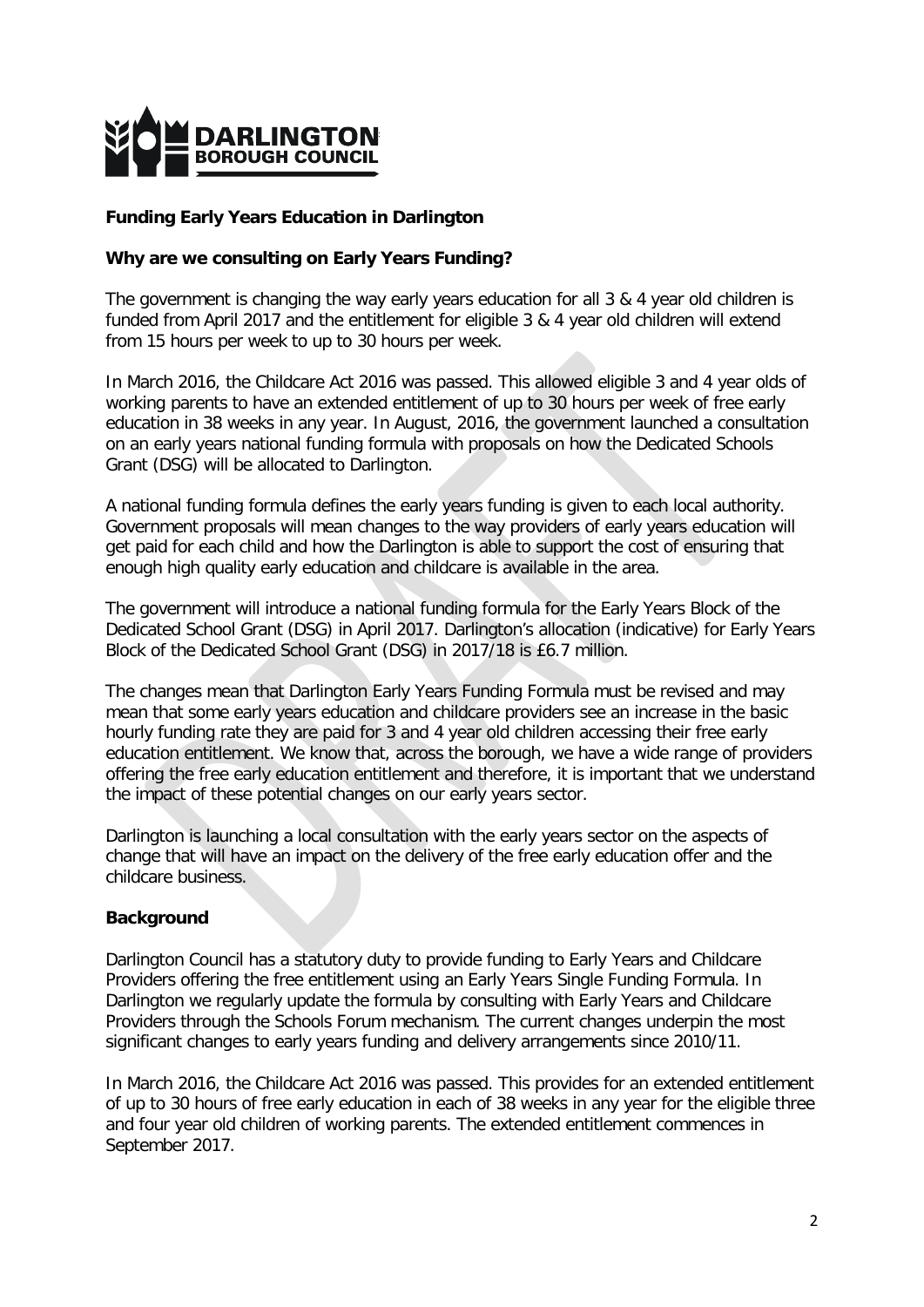

#### **Funding Early Years Education in Darlington**

#### **Why are we consulting on Early Years Funding?**

The government is changing the way early years education for all 3 & 4 year old children is funded from April 2017 and the entitlement for eligible 3 & 4 year old children will extend from 15 hours per week to up to 30 hours per week.

In March 2016, the Childcare Act 2016 was passed. This allowed eligible 3 and 4 year olds of working parents to have an extended entitlement of up to 30 hours per week of free early education in 38 weeks in any year. In August, 2016, the government launched a consultation on an early years national funding formula with proposals on how the Dedicated Schools Grant (DSG) will be allocated to Darlington.

A national funding formula defines the early years funding is given to each local authority. Government proposals will mean changes to the way providers of early years education will get paid for each child and how the Darlington is able to support the cost of ensuring that enough high quality early education and childcare is available in the area.

The government will introduce a national funding formula for the Early Years Block of the Dedicated School Grant (DSG) in April 2017. Darlington's allocation (indicative) for Early Years Block of the Dedicated School Grant (DSG) in 2017/18 is £6.7 million.

The changes mean that Darlington Early Years Funding Formula must be revised and may mean that some early years education and childcare providers see an increase in the basic hourly funding rate they are paid for 3 and 4 year old children accessing their free early education entitlement. We know that, across the borough, we have a wide range of providers offering the free early education entitlement and therefore, it is important that we understand the impact of these potential changes on our early years sector.

Darlington is launching a local consultation with the early years sector on the aspects of change that will have an impact on the delivery of the free early education offer and the childcare business.

#### **Background**

Darlington Council has a statutory duty to provide funding to Early Years and Childcare Providers offering the free entitlement using an Early Years Single Funding Formula. In Darlington we regularly update the formula by consulting with Early Years and Childcare Providers through the Schools Forum mechanism. The current changes underpin the most significant changes to early years funding and delivery arrangements since 2010/11.

In March 2016, the Childcare Act 2016 was passed. This provides for an extended entitlement of up to 30 hours of free early education in each of 38 weeks in any year for the eligible three and four year old children of working parents. The extended entitlement commences in September 2017.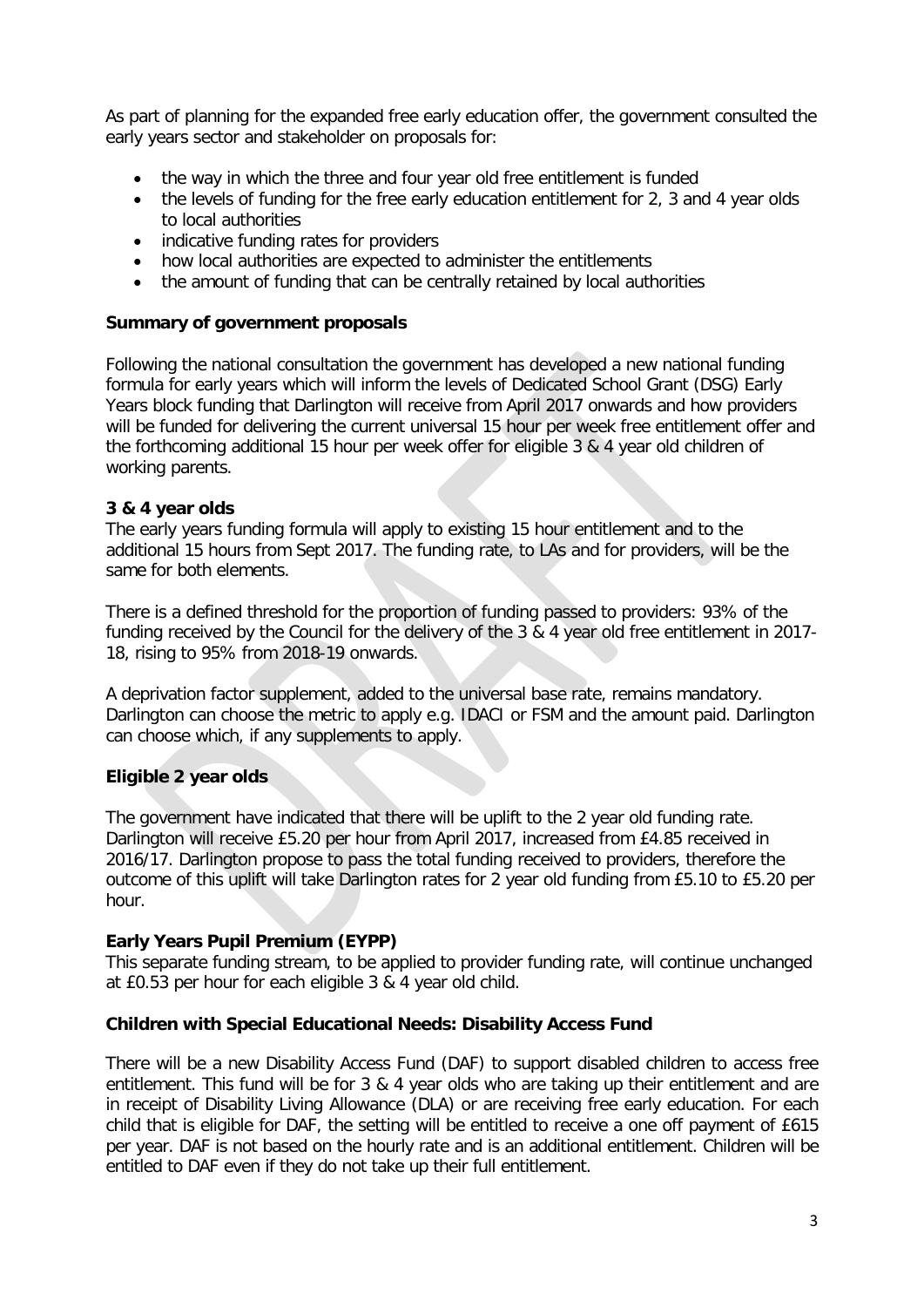As part of planning for the expanded free early education offer, the government consulted the early years sector and stakeholder on proposals for:

- the way in which the three and four year old free entitlement is funded
- the levels of funding for the free early education entitlement for 2, 3 and 4 year olds to local authorities
- indicative funding rates for providers
- how local authorities are expected to administer the entitlements
- the amount of funding that can be centrally retained by local authorities

#### **Summary of government proposals**

Following the national consultation the government has developed a new national funding formula for early years which will inform the levels of Dedicated School Grant (DSG) Early Years block funding that Darlington will receive from April 2017 onwards and how providers will be funded for delivering the current universal 15 hour per week free entitlement offer and the forthcoming additional 15 hour per week offer for eligible 3 & 4 year old children of working parents.

#### **3 & 4 year olds**

The early years funding formula will apply to existing 15 hour entitlement and to the additional 15 hours from Sept 2017. The funding rate, to LAs and for providers, will be the same for both elements.

There is a defined threshold for the proportion of funding passed to providers: 93% of the funding received by the Council for the delivery of the 3 & 4 year old free entitlement in 2017- 18, rising to 95% from 2018-19 onwards.

A deprivation factor supplement, added to the universal base rate, remains mandatory. Darlington can choose the metric to apply e.g. IDACI or FSM and the amount paid. Darlington can choose which, if any supplements to apply.

## **Eligible 2 year olds**

The government have indicated that there will be uplift to the 2 year old funding rate. Darlington will receive £5.20 per hour from April 2017, increased from £4.85 received in 2016/17. Darlington propose to pass the total funding received to providers, therefore the outcome of this uplift will take Darlington rates for 2 year old funding from £5.10 to £5.20 per hour.

#### **Early Years Pupil Premium (EYPP)**

This separate funding stream, to be applied to provider funding rate, will continue unchanged at £0.53 per hour for each eligible 3 & 4 year old child.

#### **Children with Special Educational Needs: Disability Access Fund**

There will be a new Disability Access Fund (DAF) to support disabled children to access free entitlement. This fund will be for 3 & 4 year olds who are taking up their entitlement and are in receipt of Disability Living Allowance (DLA) or are receiving free early education. For each child that is eligible for DAF, the setting will be entitled to receive a one off payment of £615 per year. DAF is not based on the hourly rate and is an additional entitlement. Children will be entitled to DAF even if they do not take up their full entitlement.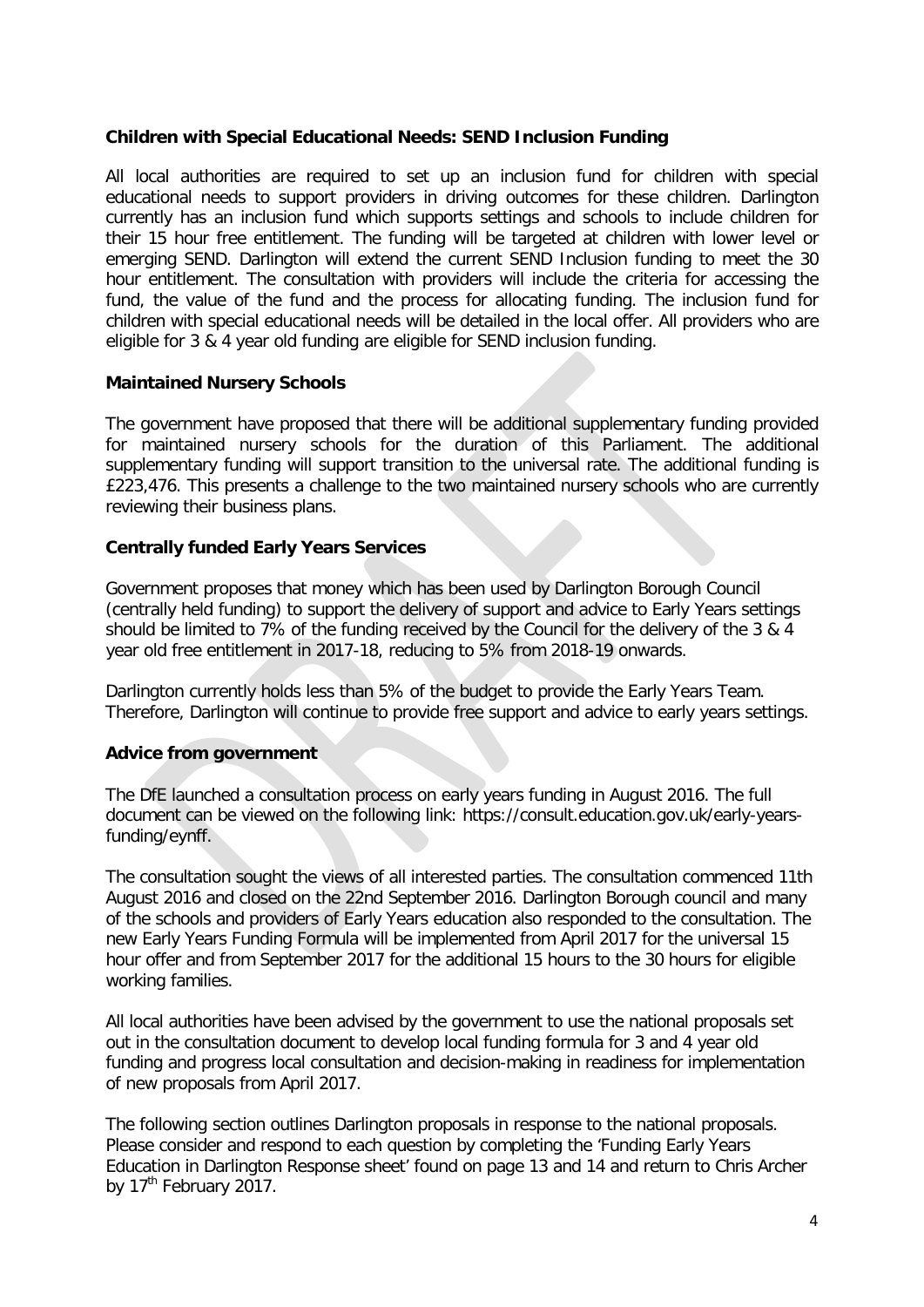#### **Children with Special Educational Needs: SEND Inclusion Funding**

All local authorities are required to set up an inclusion fund for children with special educational needs to support providers in driving outcomes for these children. Darlington currently has an inclusion fund which supports settings and schools to include children for their 15 hour free entitlement. The funding will be targeted at children with lower level or emerging SEND. Darlington will extend the current SEND Inclusion funding to meet the 30 hour entitlement. The consultation with providers will include the criteria for accessing the fund, the value of the fund and the process for allocating funding. The inclusion fund for children with special educational needs will be detailed in the local offer. All providers who are eligible for 3 & 4 year old funding are eligible for SEND inclusion funding.

#### **Maintained Nursery Schools**

The government have proposed that there will be additional supplementary funding provided for maintained nursery schools for the duration of this Parliament. The additional supplementary funding will support transition to the universal rate. The additional funding is £223,476. This presents a challenge to the two maintained nursery schools who are currently reviewing their business plans.

#### **Centrally funded Early Years Services**

Government proposes that money which has been used by Darlington Borough Council (centrally held funding) to support the delivery of support and advice to Early Years settings should be limited to 7% of the funding received by the Council for the delivery of the 3 & 4 year old free entitlement in 2017-18, reducing to 5% from 2018-19 onwards.

Darlington currently holds less than 5% of the budget to provide the Early Years Team. Therefore, Darlington will continue to provide free support and advice to early years settings.

#### **Advice from government**

The DfE launched a consultation process on early years funding in August 2016. The full document can be viewed on the following link: https://consult.education.gov.uk/early-yearsfunding/eynff.

The consultation sought the views of all interested parties. The consultation commenced 11th August 2016 and closed on the 22nd September 2016. Darlington Borough council and many of the schools and providers of Early Years education also responded to the consultation. The new Early Years Funding Formula will be implemented from April 2017 for the universal 15 hour offer and from September 2017 for the additional 15 hours to the 30 hours for eligible working families.

All local authorities have been advised by the government to use the national proposals set out in the consultation document to develop local funding formula for 3 and 4 year old funding and progress local consultation and decision-making in readiness for implementation of new proposals from April 2017.

The following section outlines Darlington proposals in response to the national proposals. Please consider and respond to each question by completing the 'Funding Early Years Education in Darlington Response sheet' found on page 13 and 14 and return to Chris Archer by 17<sup>th</sup> February 2017.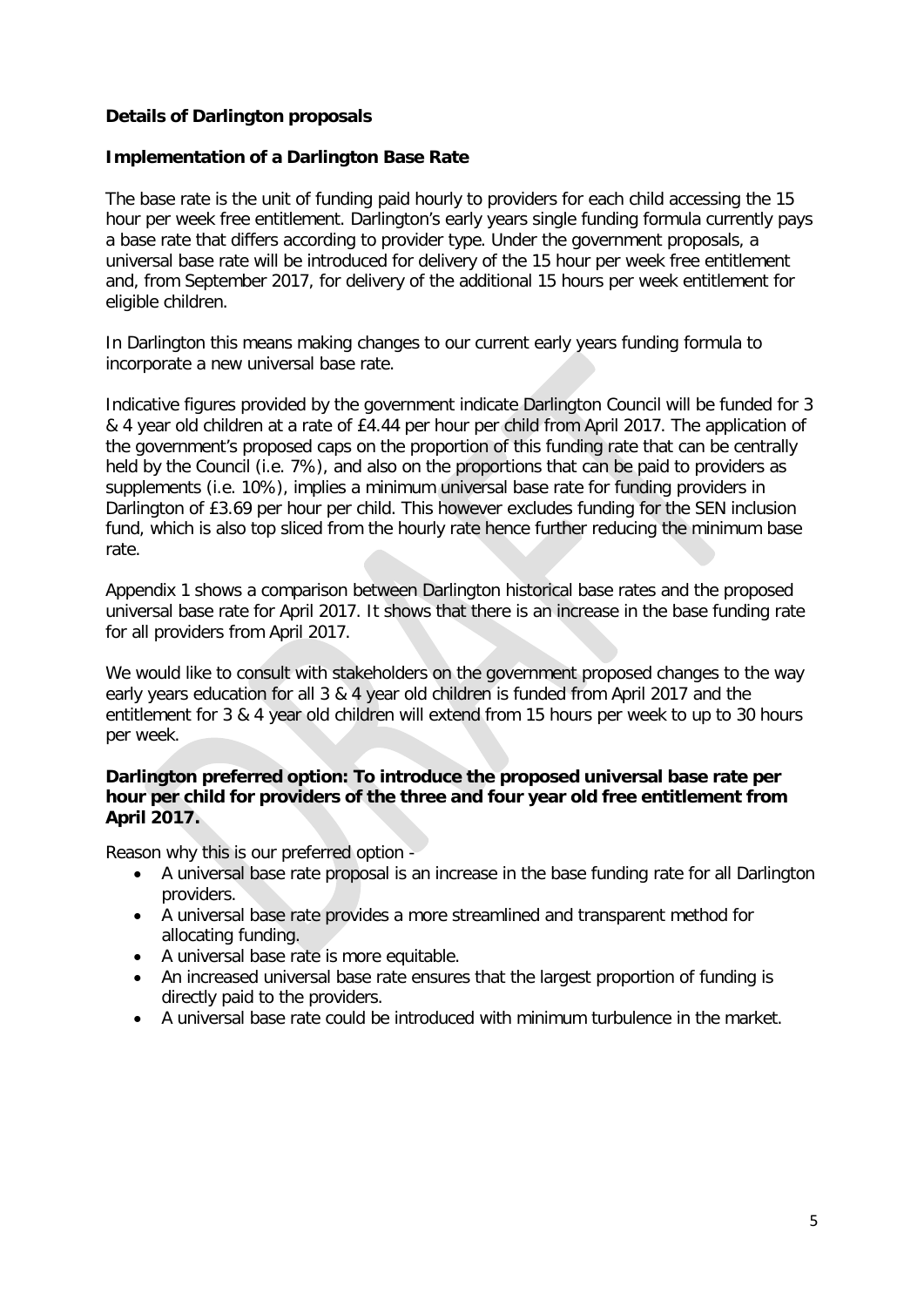## **Details of Darlington proposals**

#### **Implementation of a Darlington Base Rate**

The base rate is the unit of funding paid hourly to providers for each child accessing the 15 hour per week free entitlement. Darlington's early years single funding formula currently pays a base rate that differs according to provider type. Under the government proposals, a universal base rate will be introduced for delivery of the 15 hour per week free entitlement and, from September 2017, for delivery of the additional 15 hours per week entitlement for eligible children.

In Darlington this means making changes to our current early years funding formula to incorporate a new universal base rate.

Indicative figures provided by the government indicate Darlington Council will be funded for 3 & 4 year old children at a rate of £4.44 per hour per child from April 2017. The application of the government's proposed caps on the proportion of this funding rate that can be centrally held by the Council (i.e. 7%), and also on the proportions that can be paid to providers as supplements (i.e. 10%), implies a minimum universal base rate for funding providers in Darlington of £3.69 per hour per child. This however excludes funding for the SEN inclusion fund, which is also top sliced from the hourly rate hence further reducing the minimum base rate.

Appendix 1 shows a comparison between Darlington historical base rates and the proposed universal base rate for April 2017. It shows that there is an increase in the base funding rate for all providers from April 2017.

We would like to consult with stakeholders on the government proposed changes to the way early years education for all 3 & 4 year old children is funded from April 2017 and the entitlement for 3 & 4 year old children will extend from 15 hours per week to up to 30 hours per week.

#### **Darlington preferred option: To introduce the proposed universal base rate per hour per child for providers of the three and four year old free entitlement from April 2017.**

Reason why this is our preferred option -

- A universal base rate proposal is an increase in the base funding rate for all Darlington providers.
- A universal base rate provides a more streamlined and transparent method for allocating funding.
- A universal base rate is more equitable.
- An increased universal base rate ensures that the largest proportion of funding is directly paid to the providers.
- A universal base rate could be introduced with minimum turbulence in the market.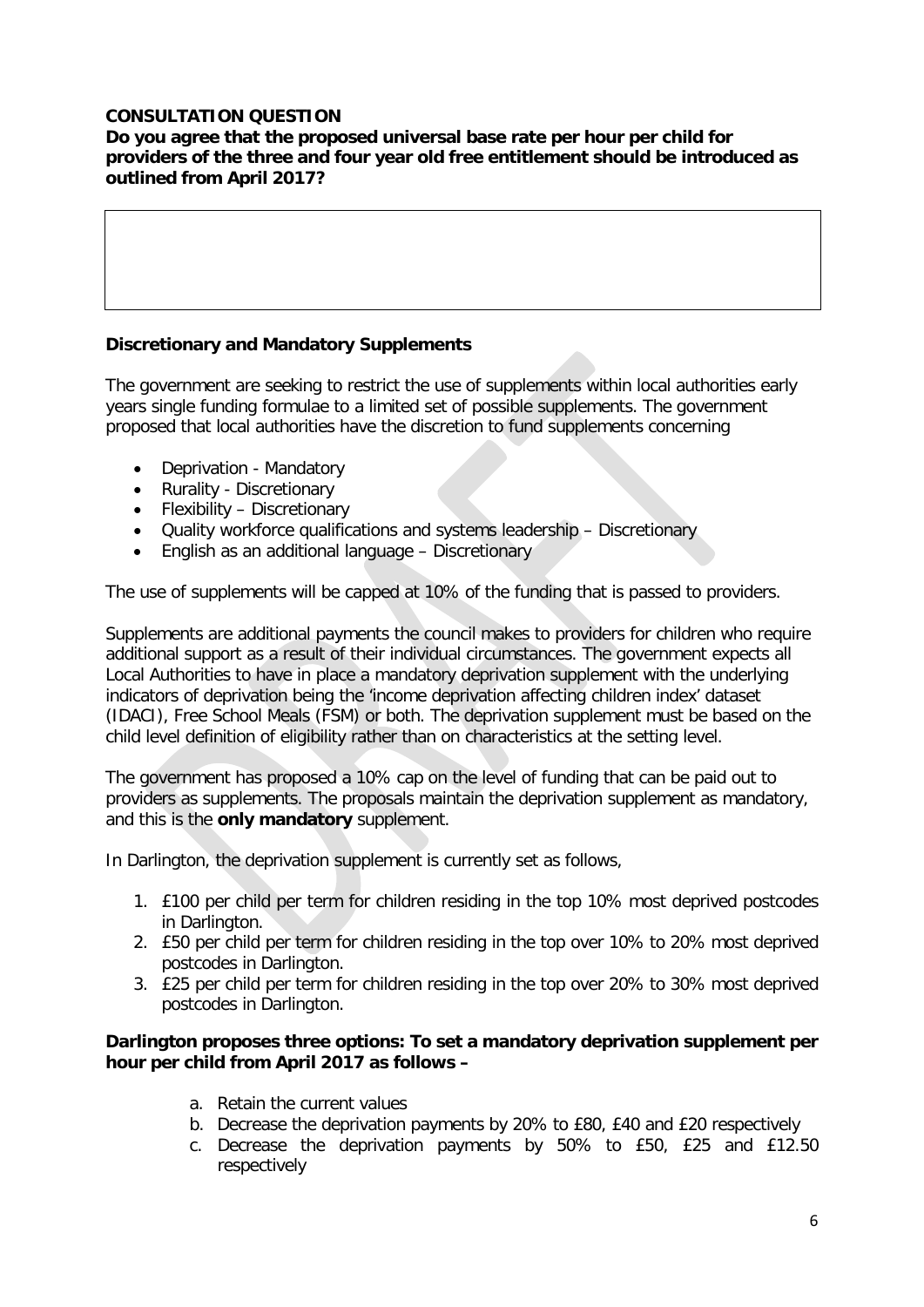## **CONSULTATION QUESTION**

**Do you agree that the proposed universal base rate per hour per child for providers of the three and four year old free entitlement should be introduced as outlined from April 2017?**

## **Discretionary and Mandatory Supplements**

The government are seeking to restrict the use of supplements within local authorities early years single funding formulae to a limited set of possible supplements. The government proposed that local authorities have the discretion to fund supplements concerning

- Deprivation Mandatory
- Rurality Discretionary
- Flexibility Discretionary
- Quality workforce qualifications and systems leadership Discretionary
- English as an additional language Discretionary

The use of supplements will be capped at 10% of the funding that is passed to providers.

Supplements are additional payments the council makes to providers for children who require additional support as a result of their individual circumstances. The government expects all Local Authorities to have in place a mandatory deprivation supplement with the underlying indicators of deprivation being the 'income deprivation affecting children index' dataset (IDACI), Free School Meals (FSM) or both. The deprivation supplement must be based on the child level definition of eligibility rather than on characteristics at the setting level.

The government has proposed a 10% cap on the level of funding that can be paid out to providers as supplements. The proposals maintain the deprivation supplement as mandatory, and this is the **only mandatory** supplement.

In Darlington, the deprivation supplement is currently set as follows,

- 1. £100 per child per term for children residing in the top 10% most deprived postcodes in Darlington.
- 2. £50 per child per term for children residing in the top over 10% to 20% most deprived postcodes in Darlington.
- 3. £25 per child per term for children residing in the top over 20% to 30% most deprived postcodes in Darlington.

#### **Darlington proposes three options: To set a mandatory deprivation supplement per hour per child from April 2017 as follows –**

- a. Retain the current values
- b. Decrease the deprivation payments by 20% to £80, £40 and £20 respectively
- c. Decrease the deprivation payments by 50% to £50, £25 and £12.50 respectively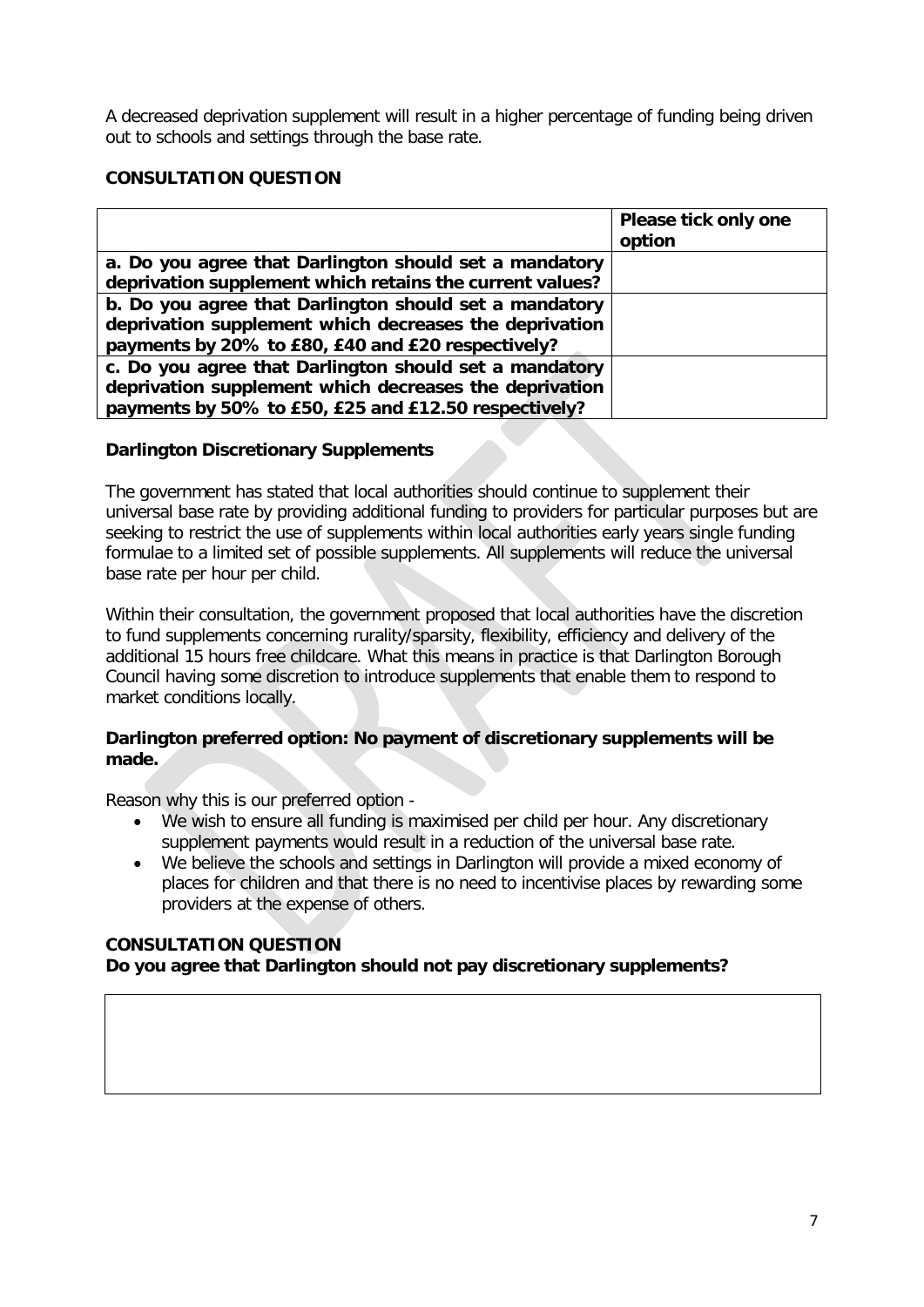A decreased deprivation supplement will result in a higher percentage of funding being driven out to schools and settings through the base rate.

## **CONSULTATION QUESTION**

|                                                          | Please tick only one |
|----------------------------------------------------------|----------------------|
|                                                          | option               |
| a. Do you agree that Darlington should set a mandatory   |                      |
| deprivation supplement which retains the current values? |                      |
| b. Do you agree that Darlington should set a mandatory   |                      |
| deprivation supplement which decreases the deprivation   |                      |
| payments by 20% to £80, £40 and £20 respectively?        |                      |
| c. Do you agree that Darlington should set a mandatory   |                      |
| deprivation supplement which decreases the deprivation   |                      |
| payments by 50% to £50, £25 and £12.50 respectively?     |                      |

## **Darlington Discretionary Supplements**

The government has stated that local authorities should continue to supplement their universal base rate by providing additional funding to providers for particular purposes but are seeking to restrict the use of supplements within local authorities early years single funding formulae to a limited set of possible supplements. All supplements will reduce the universal base rate per hour per child.

Within their consultation, the government proposed that local authorities have the discretion to fund supplements concerning rurality/sparsity, flexibility, efficiency and delivery of the additional 15 hours free childcare. What this means in practice is that Darlington Borough Council having some discretion to introduce supplements that enable them to respond to market conditions locally.

## **Darlington preferred option: No payment of discretionary supplements will be made.**

Reason why this is our preferred option -

- We wish to ensure all funding is maximised per child per hour. Any discretionary supplement payments would result in a reduction of the universal base rate.
- We believe the schools and settings in Darlington will provide a mixed economy of places for children and that there is no need to incentivise places by rewarding some providers at the expense of others.

## **CONSULTATION QUESTION Do you agree that Darlington should not pay discretionary supplements?**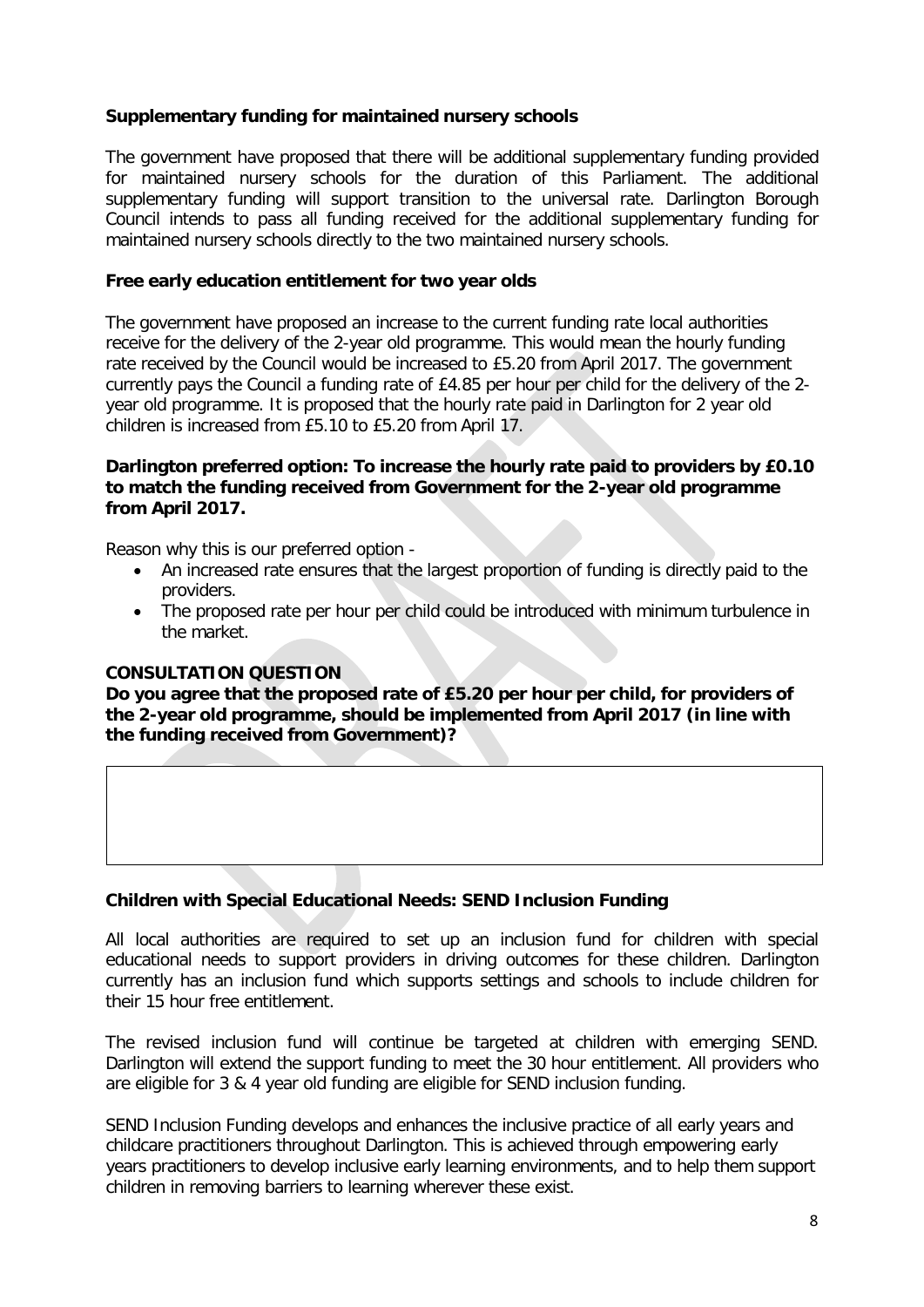#### **Supplementary funding for maintained nursery schools**

The government have proposed that there will be additional supplementary funding provided for maintained nursery schools for the duration of this Parliament. The additional supplementary funding will support transition to the universal rate. Darlington Borough Council intends to pass all funding received for the additional supplementary funding for maintained nursery schools directly to the two maintained nursery schools.

#### **Free early education entitlement for two year olds**

The government have proposed an increase to the current funding rate local authorities receive for the delivery of the 2-year old programme. This would mean the hourly funding rate received by the Council would be increased to £5.20 from April 2017. The government currently pays the Council a funding rate of £4.85 per hour per child for the delivery of the 2 year old programme. It is proposed that the hourly rate paid in Darlington for 2 year old children is increased from £5.10 to £5.20 from April 17.

#### **Darlington preferred option: To increase the hourly rate paid to providers by £0.10 to match the funding received from Government for the 2-year old programme from April 2017.**

Reason why this is our preferred option -

- An increased rate ensures that the largest proportion of funding is directly paid to the providers.
- The proposed rate per hour per child could be introduced with minimum turbulence in the market.

#### **CONSULTATION QUESTION**

**Do you agree that the proposed rate of £5.20 per hour per child, for providers of the 2-year old programme, should be implemented from April 2017 (in line with the funding received from Government)?**

#### **Children with Special Educational Needs: SEND Inclusion Funding**

All local authorities are required to set up an inclusion fund for children with special educational needs to support providers in driving outcomes for these children. Darlington currently has an inclusion fund which supports settings and schools to include children for their 15 hour free entitlement.

The revised inclusion fund will continue be targeted at children with emerging SEND. Darlington will extend the support funding to meet the 30 hour entitlement. All providers who are eligible for 3 & 4 year old funding are eligible for SEND inclusion funding.

SEND Inclusion Funding develops and enhances the inclusive practice of all early years and childcare practitioners throughout Darlington. This is achieved through empowering early years practitioners to develop inclusive early learning environments, and to help them support children in removing barriers to learning wherever these exist.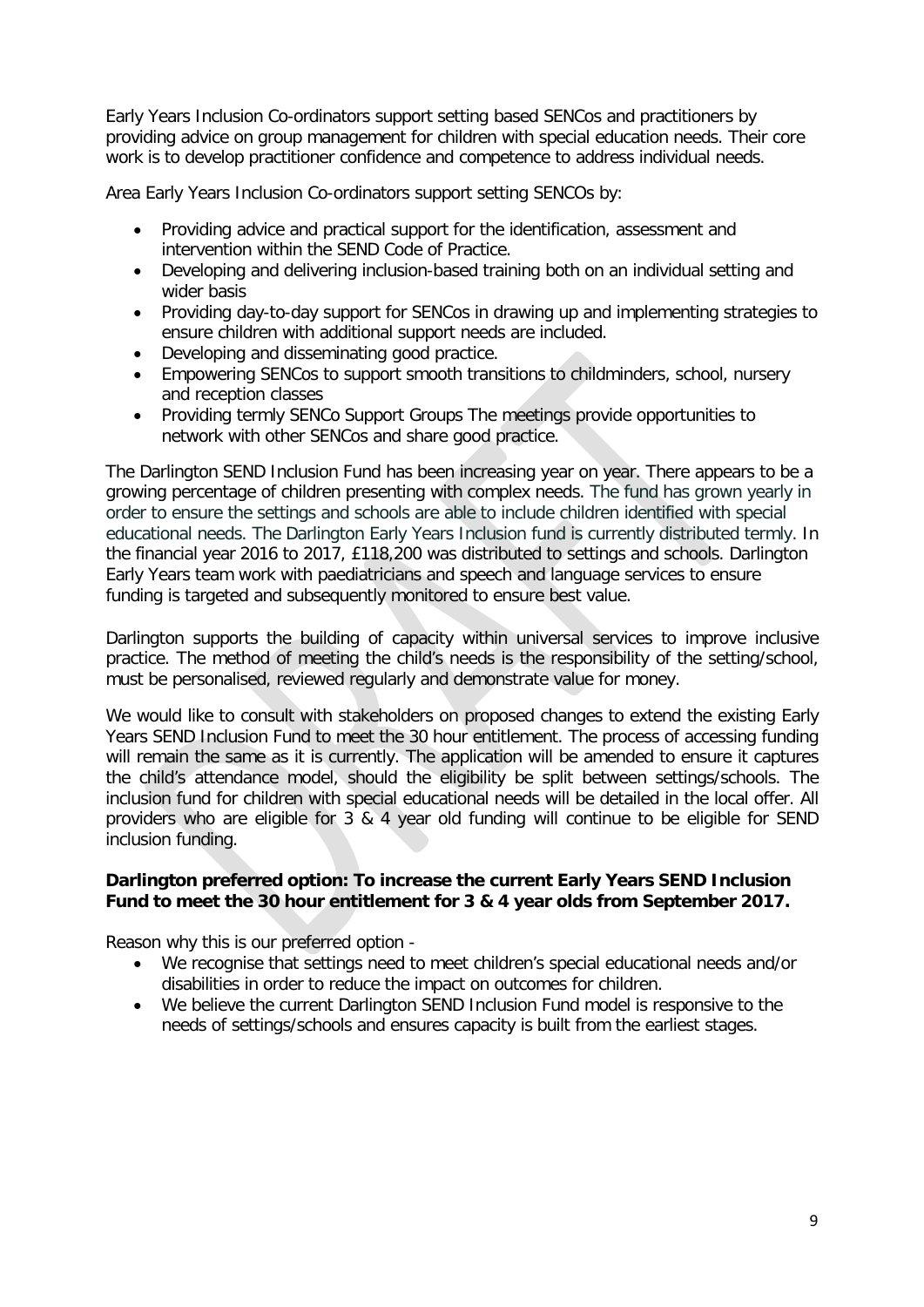Early Years Inclusion Co-ordinators support setting based SENCos and practitioners by providing advice on group management for children with special education needs. Their core work is to develop practitioner confidence and competence to address individual needs.

Area Early Years Inclusion Co-ordinators support setting SENCOs by:

- Providing advice and practical support for the identification, assessment and intervention within the SEND Code of Practice.
- Developing and delivering inclusion-based training both on an individual setting and wider basis
- Providing day-to-day support for SENCos in drawing up and implementing strategies to ensure children with additional support needs are included.
- Developing and disseminating good practice.
- Empowering SENCos to support smooth transitions to childminders, school, nursery and reception classes
- Providing termly SENCo Support Groups The meetings provide opportunities to network with other SENCos and share good practice.

The Darlington SEND Inclusion Fund has been increasing year on year. There appears to be a growing percentage of children presenting with complex needs. The fund has grown yearly in order to ensure the settings and schools are able to include children identified with special educational needs. The Darlington Early Years Inclusion fund is currently distributed termly. In the financial year 2016 to 2017, £118,200 was distributed to settings and schools. Darlington Early Years team work with paediatricians and speech and language services to ensure funding is targeted and subsequently monitored to ensure best value.

Darlington supports the building of capacity within universal services to improve inclusive practice. The method of meeting the child's needs is the responsibility of the setting/school, must be personalised, reviewed regularly and demonstrate value for money.

We would like to consult with stakeholders on proposed changes to extend the existing Early Years SEND Inclusion Fund to meet the 30 hour entitlement. The process of accessing funding will remain the same as it is currently. The application will be amended to ensure it captures the child's attendance model, should the eligibility be split between settings/schools. The inclusion fund for children with special educational needs will be detailed in the local offer. All providers who are eligible for 3 & 4 year old funding will continue to be eligible for SEND inclusion funding.

#### **Darlington preferred option: To increase the current Early Years SEND Inclusion Fund to meet the 30 hour entitlement for 3 & 4 year olds from September 2017.**

Reason why this is our preferred option -

- We recognise that settings need to meet children's special educational needs and/or disabilities in order to reduce the impact on outcomes for children.
- We believe the current Darlington SEND Inclusion Fund model is responsive to the needs of settings/schools and ensures capacity is built from the earliest stages.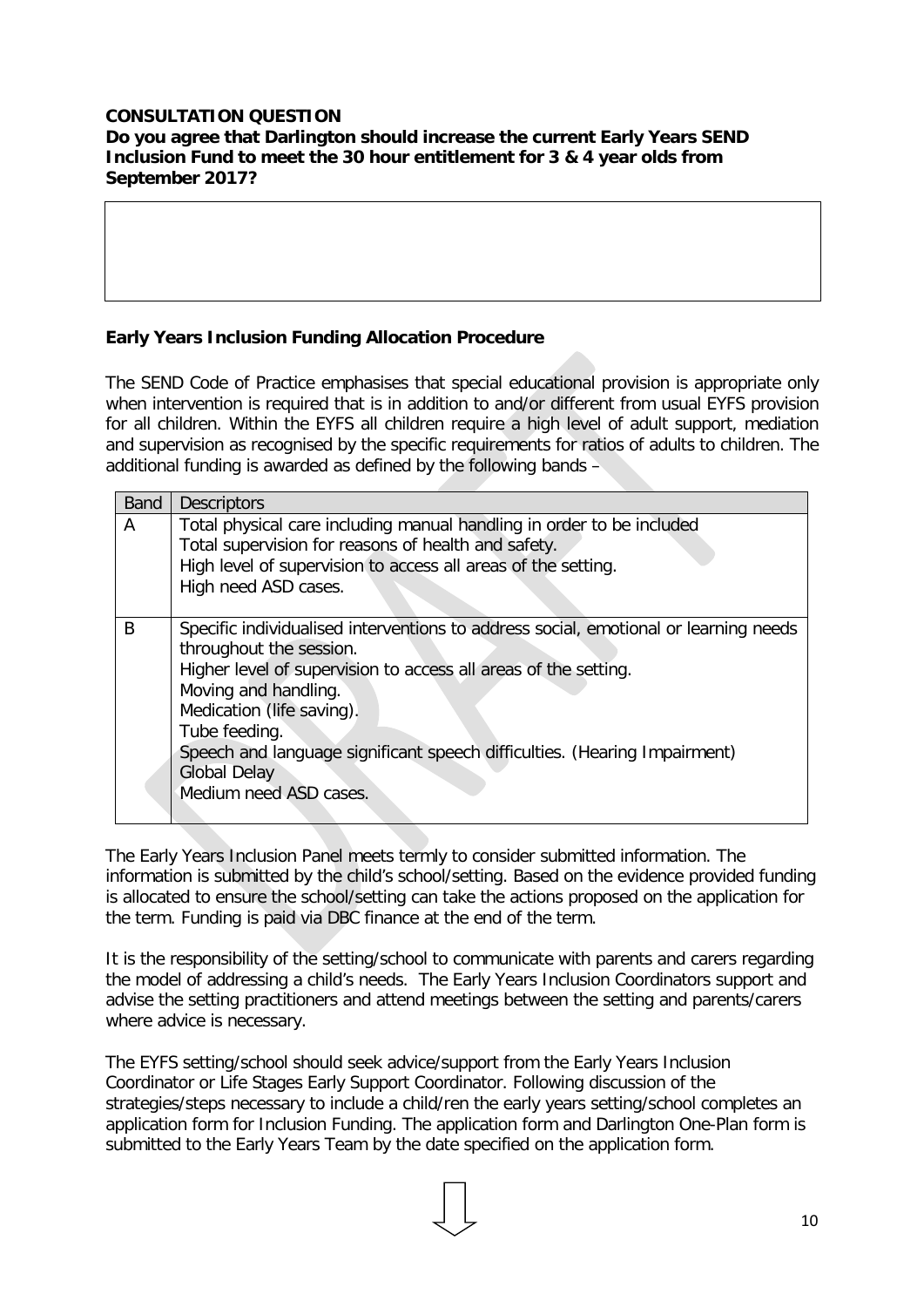#### **CONSULTATION QUESTION Do you agree that Darlington should increase the current Early Years SEND Inclusion Fund to meet the 30 hour entitlement for 3 & 4 year olds from September 2017?**

## **Early Years Inclusion Funding Allocation Procedure**

The SEND Code of Practice emphasises that special educational provision is appropriate only when intervention is required that is in addition to and/or different from usual EYFS provision for all children. Within the EYFS all children require a high level of adult support, mediation and supervision as recognised by the specific requirements for ratios of adults to children. The additional funding is awarded as defined by the following bands –

| <b>Band</b> | <b>Descriptors</b>                                                                                                                                                                                                                                                                                                                                                                     |
|-------------|----------------------------------------------------------------------------------------------------------------------------------------------------------------------------------------------------------------------------------------------------------------------------------------------------------------------------------------------------------------------------------------|
| A           | Total physical care including manual handling in order to be included<br>Total supervision for reasons of health and safety.<br>High level of supervision to access all areas of the setting.<br>High need ASD cases.                                                                                                                                                                  |
| B           | Specific individualised interventions to address social, emotional or learning needs<br>throughout the session.<br>Higher level of supervision to access all areas of the setting.<br>Moving and handling.<br>Medication (life saving).<br>Tube feeding.<br>Speech and language significant speech difficulties. (Hearing Impairment)<br><b>Global Delay</b><br>Medium need ASD cases. |

The Early Years Inclusion Panel meets termly to consider submitted information. The information is submitted by the child's school/setting. Based on the evidence provided funding is allocated to ensure the school/setting can take the actions proposed on the application for the term. Funding is paid via DBC finance at the end of the term.

It is the responsibility of the setting/school to communicate with parents and carers regarding the model of addressing a child's needs. The Early Years Inclusion Coordinators support and advise the setting practitioners and attend meetings between the setting and parents/carers where advice is necessary.

The EYFS setting/school should seek advice/support from the Early Years Inclusion Coordinator or Life Stages Early Support Coordinator. Following discussion of the strategies/steps necessary to include a child/ren the early years setting/school completes an application form for Inclusion Funding. The application form and Darlington One-Plan form is submitted to the Early Years Team by the date specified on the application form.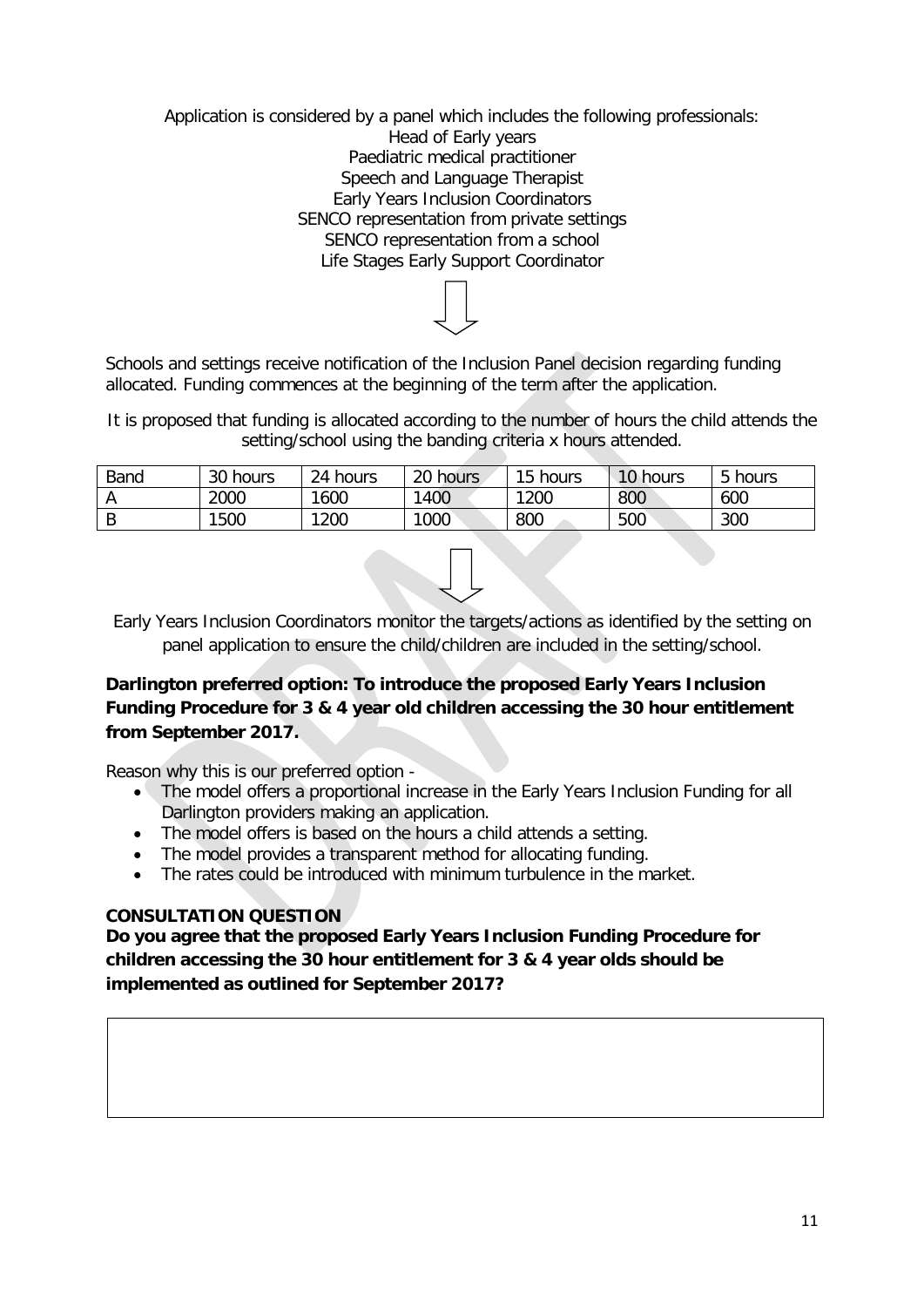Application is considered by a panel which includes the following professionals: Head of Early years Paediatric medical practitioner Speech and Language Therapist Early Years Inclusion Coordinators SENCO representation from private settings SENCO representation from a school Life Stages Early Support Coordinator

Schools and settings receive notification of the Inclusion Panel decision regarding funding allocated. Funding commences at the beginning of the term after the application.

It is proposed that funding is allocated according to the number of hours the child attends the setting/school using the banding criteria x hours attended.

| Band   | 30 hours | 24 hours | 20 hours | 15 hours | 10 hours | 5 hours |
|--------|----------|----------|----------|----------|----------|---------|
|        | 2000     | 1600     | 1400     | 1200     | 800      | 600     |
| D<br>D | 1500     | 1200     | 1000     | 800      | 500      | 300     |

Early Years Inclusion Coordinators monitor the targets/actions as identified by the setting on panel application to ensure the child/children are included in the setting/school.

## **Darlington preferred option: To introduce the proposed Early Years Inclusion Funding Procedure for 3 & 4 year old children accessing the 30 hour entitlement from September 2017.**

Reason why this is our preferred option -

- The model offers a proportional increase in the Early Years Inclusion Funding for all Darlington providers making an application.
- The model offers is based on the hours a child attends a setting.
- The model provides a transparent method for allocating funding.
- The rates could be introduced with minimum turbulence in the market.

#### **CONSULTATION QUESTION**

**Do you agree that the proposed Early Years Inclusion Funding Procedure for children accessing the 30 hour entitlement for 3 & 4 year olds should be implemented as outlined for September 2017?**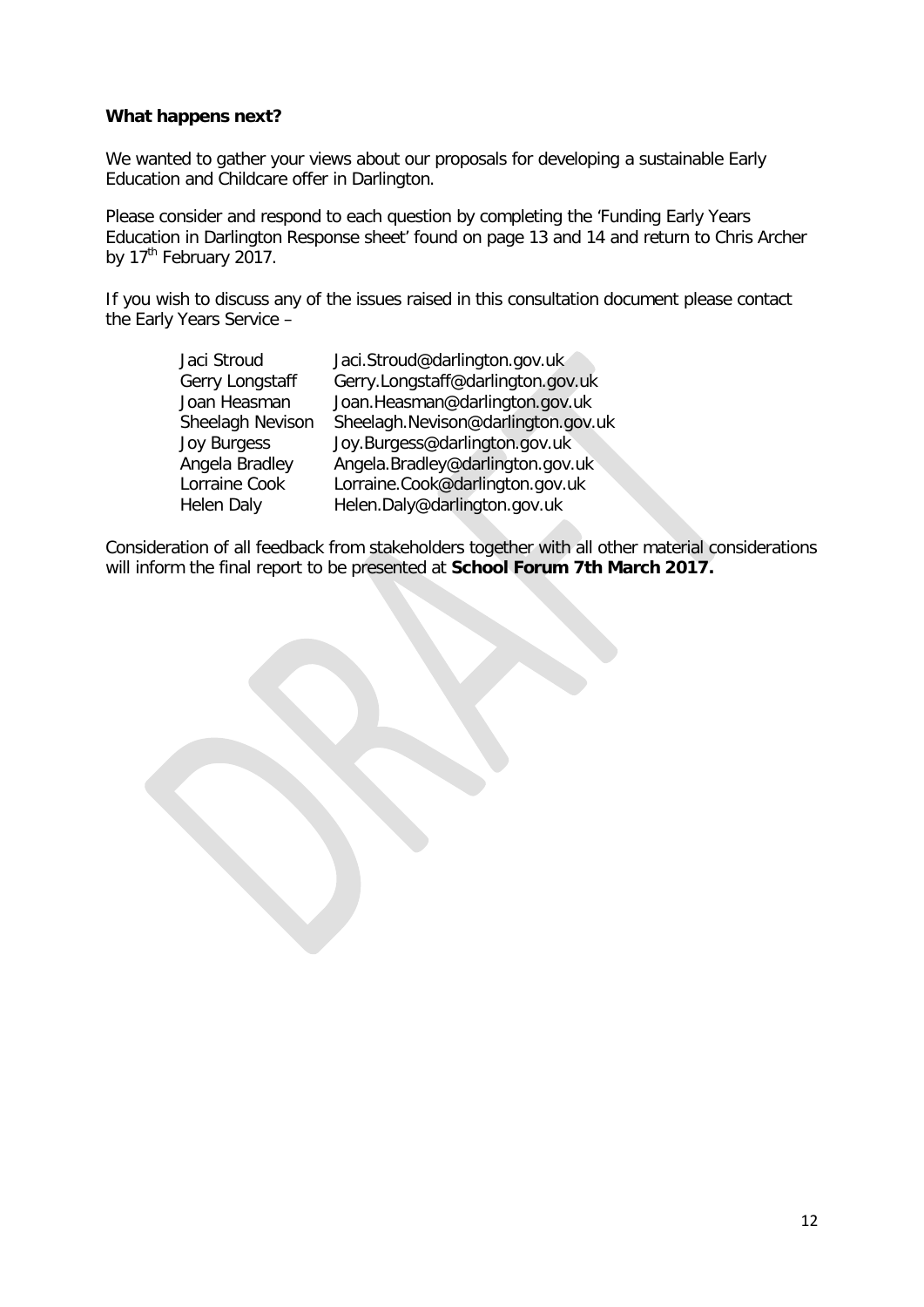#### **What happens next?**

We wanted to gather your views about our proposals for developing a sustainable Early Education and Childcare offer in Darlington.

Please consider and respond to each question by completing the 'Funding Early Years Education in Darlington Response sheet' found on page 13 and 14 and return to Chris Archer by 17<sup>th</sup> February 2017.

If you wish to discuss any of the issues raised in this consultation document please contact the Early Years Service –

| Jaci Stroud      | Jaci.Stroud@darlington.gov.uk      |
|------------------|------------------------------------|
| Gerry Longstaff  | Gerry.Longstaff@darlington.gov.uk  |
| Joan Heasman     | Joan.Heasman@darlington.gov.uk     |
| Sheelagh Nevison | Sheelagh.Nevison@darlington.gov.uk |
| Joy Burgess      | Joy.Burgess@darlington.gov.uk      |
| Angela Bradley   | Angela.Bradley@darlington.gov.uk   |
| Lorraine Cook    | Lorraine.Cook@darlington.gov.uk    |
| Helen Daly       | Helen.Daly@darlington.gov.uk       |
|                  |                                    |

Consideration of all feedback from stakeholders together with all other material considerations will inform the final report to be presented at **School Forum 7th March 2017.**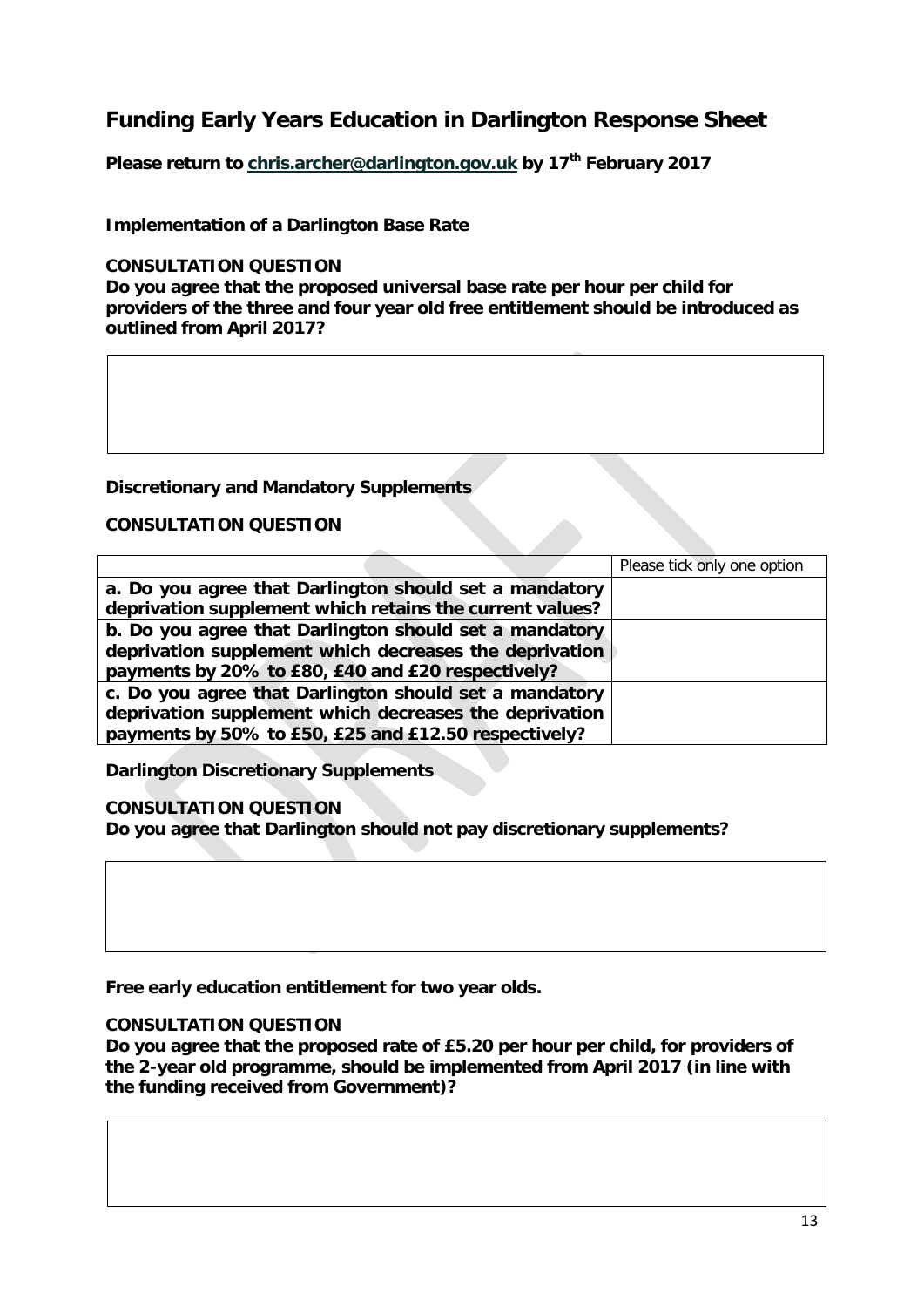## **Funding Early Years Education in Darlington Response Sheet**

**Please return to [chris.archer@darlington.gov.uk](mailto:chris.archer@darlington.gov.uk) by 17th February 2017**

#### **Implementation of a Darlington Base Rate**

#### **CONSULTATION QUESTION**

**Do you agree that the proposed universal base rate per hour per child for providers of the three and four year old free entitlement should be introduced as outlined from April 2017?**

#### **Discretionary and Mandatory Supplements**

#### **CONSULTATION QUESTION**

|                                                          | Please tick only one option |
|----------------------------------------------------------|-----------------------------|
| a. Do you agree that Darlington should set a mandatory   |                             |
| deprivation supplement which retains the current values? |                             |
| b. Do you agree that Darlington should set a mandatory   |                             |
| deprivation supplement which decreases the deprivation   |                             |
| payments by 20% to £80, £40 and £20 respectively?        |                             |
| c. Do you agree that Darlington should set a mandatory   |                             |
| deprivation supplement which decreases the deprivation   |                             |
| payments by 50% to £50, £25 and £12.50 respectively?     |                             |

**Darlington Discretionary Supplements**

#### **CONSULTATION QUESTION**

**Do you agree that Darlington should not pay discretionary supplements?** 

**Free early education entitlement for two year olds.**

#### **CONSULTATION QUESTION**

**Do you agree that the proposed rate of £5.20 per hour per child, for providers of the 2-year old programme, should be implemented from April 2017 (in line with the funding received from Government)?**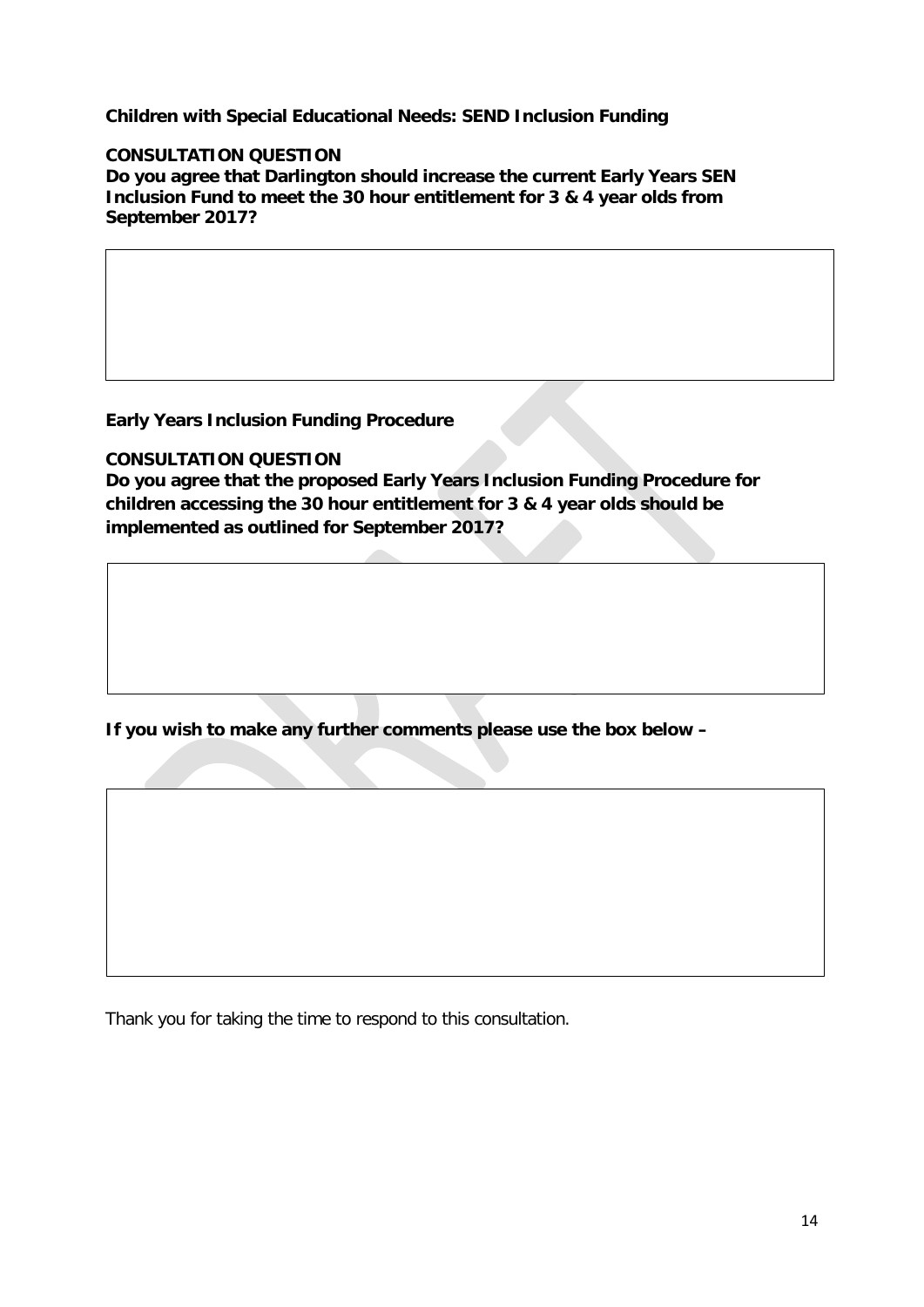**Children with Special Educational Needs: SEND Inclusion Funding**

#### **CONSULTATION QUESTION**

**Do you agree that Darlington should increase the current Early Years SEN Inclusion Fund to meet the 30 hour entitlement for 3 & 4 year olds from September 2017?**

**Early Years Inclusion Funding Procedure**

#### **CONSULTATION QUESTION**

**Do you agree that the proposed Early Years Inclusion Funding Procedure for children accessing the 30 hour entitlement for 3 & 4 year olds should be implemented as outlined for September 2017?**

**If you wish to make any further comments please use the box below –**

Thank you for taking the time to respond to this consultation.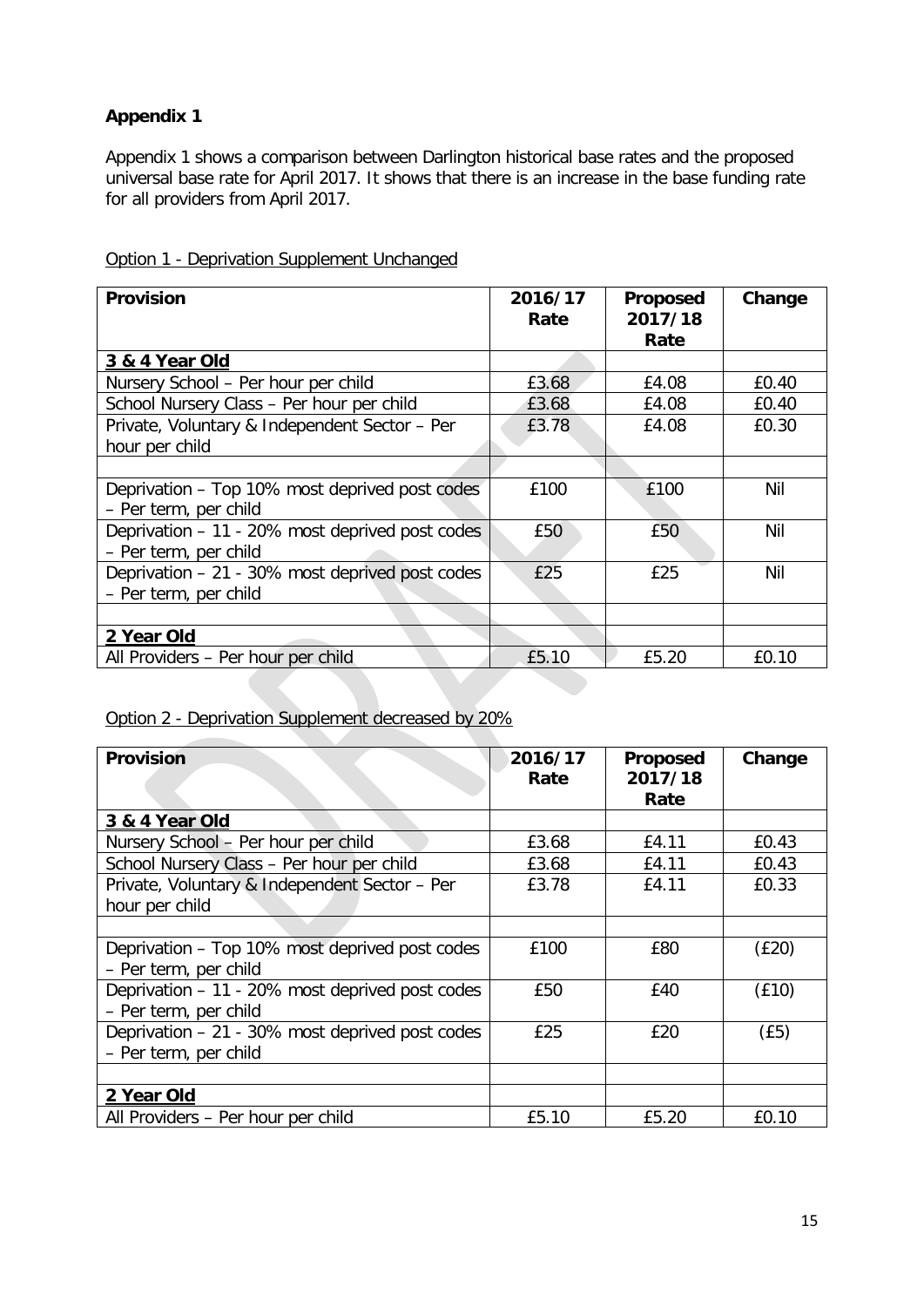## **Appendix 1**

Appendix 1 shows a comparison between Darlington historical base rates and the proposed universal base rate for April 2017. It shows that there is an increase in the base funding rate for all providers from April 2017.

| <b>Provision</b>                                                         | 2016/17<br>Rate | Proposed<br>2017/18<br>Rate | Change |
|--------------------------------------------------------------------------|-----------------|-----------------------------|--------|
| 3 & 4 Year Old                                                           |                 |                             |        |
| Nursery School - Per hour per child                                      | £3.68           | £4.08                       | £0.40  |
| School Nursery Class - Per hour per child                                | £3.68           | £4.08                       | £0.40  |
| Private, Voluntary & Independent Sector - Per<br>hour per child          | £3.78           | £4.08                       | £0.30  |
|                                                                          |                 |                             |        |
| Deprivation - Top 10% most deprived post codes<br>- Per term, per child  | £100            | £100                        | Nil    |
| Deprivation - 11 - 20% most deprived post codes<br>- Per term, per child | £50             | £50                         | Nil    |
| Deprivation - 21 - 30% most deprived post codes<br>- Per term, per child | £25             | £25                         | Nil    |
|                                                                          |                 |                             |        |
| 2 Year Old                                                               |                 |                             |        |
| All Providers - Per hour per child                                       | £5.10           | £5.20                       | £0.10  |

#### Option 1 - Deprivation Supplement Unchanged

## Option 2 - Deprivation Supplement decreased by 20%

| <b>Provision</b>                                                         | 2016/17<br>Rate | Proposed<br>2017/18<br>Rate | Change |
|--------------------------------------------------------------------------|-----------------|-----------------------------|--------|
| 3 & 4 Year Old                                                           |                 |                             |        |
| Nursery School - Per hour per child                                      | £3.68           | £4.11                       | £0.43  |
| School Nursery Class - Per hour per child                                | £3.68           | £4.11                       | £0.43  |
| Private, Voluntary & Independent Sector - Per<br>hour per child          | £3.78           | £4.11                       | £0.33  |
|                                                                          |                 |                             |        |
| Deprivation - Top 10% most deprived post codes<br>- Per term, per child  | £100            | £80                         | (E20)  |
| Deprivation - 11 - 20% most deprived post codes<br>- Per term, per child | £50             | £40                         | (E10)  |
| Deprivation - 21 - 30% most deprived post codes<br>- Per term, per child | £25             | £20                         | (E5)   |
|                                                                          |                 |                             |        |
| 2 Year Old                                                               |                 |                             |        |
| All Providers - Per hour per child                                       | £5.10           | £5.20                       | £0.10  |